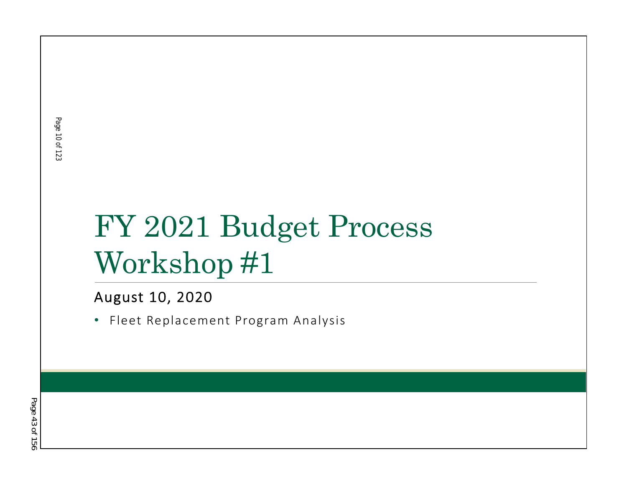# FY 2021 Budget Process Workshop #1

#### August 10, 2020

• Fleet Replacement Program Analysis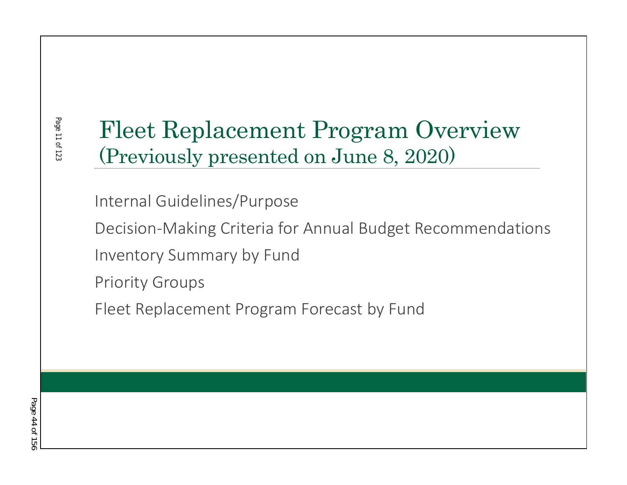# Fleet Replacement Program Overview (Previously presented on June 8, 2020)

Internal Guidelines/Purpose

Decision-Making Criteria for Annual Budget Recommendations Inventory Summary by Fund

Priority Groups

Fleet Replacement Program Forecast by Fund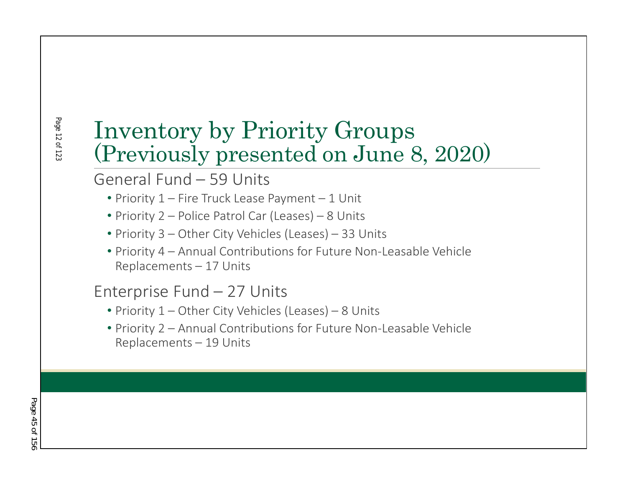### Page 12 of 12: Page 12 of 123

### Inventory by Priority Groups (Previously presented on June 8, 2020)

### General Fund – 59 Units

- Priority 1 Fire Truck Lease Payment 1 Unit
- Priority 2 Police Patrol Car (Leases) 8 Units
- Priority 3 Other City Vehicles (Leases) 33 Units
- Priority 4 Annual Contributions for Future Non-Leasable Vehicle Replacements – 17 Units

### Enterprise Fund – 27 Units

- Priority 1 Other City Vehicles (Leases) 8 Units
- Priority 2 Annual Contributions for Future Non-Leasable Vehicle Replacements – 19 Units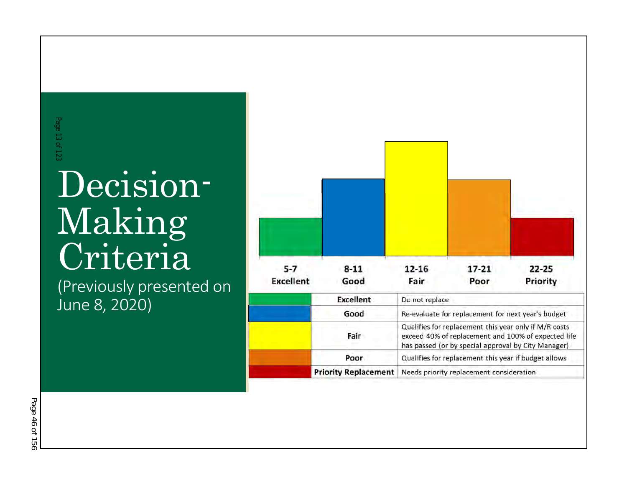# Decision-Making Criteria ERROUIS:<br>Decis:<br>Makil<br>Critel<br>(Previously pr<br>June 8, 2020)

(Previously presented on<br>June 8, 2020)

| $5 - 7$          | $8 - 11$                    | 12-16                                                                                                                                                                                                                                                                   | $17 - 21$ | $22 - 25$ |  |  |  |  |  |
|------------------|-----------------------------|-------------------------------------------------------------------------------------------------------------------------------------------------------------------------------------------------------------------------------------------------------------------------|-----------|-----------|--|--|--|--|--|
| <b>Excellent</b> | Good                        | Fair                                                                                                                                                                                                                                                                    | Poor      | Priority  |  |  |  |  |  |
|                  | <b>Excellent</b>            | Do not replace                                                                                                                                                                                                                                                          |           |           |  |  |  |  |  |
|                  | Good                        | Re-evaluate for replacement for next year's budget                                                                                                                                                                                                                      |           |           |  |  |  |  |  |
|                  | Fair                        | Qualifies for replacement this year only if M/R costs<br>exceed 40% of replacement and 100% of expected life<br>has passed (or by special approval by City Manager)<br>Qualifies for replacement this year if budget allows<br>Needs priority replacement consideration |           |           |  |  |  |  |  |
|                  | Poor                        |                                                                                                                                                                                                                                                                         |           |           |  |  |  |  |  |
|                  | <b>Priority Replacement</b> |                                                                                                                                                                                                                                                                         |           |           |  |  |  |  |  |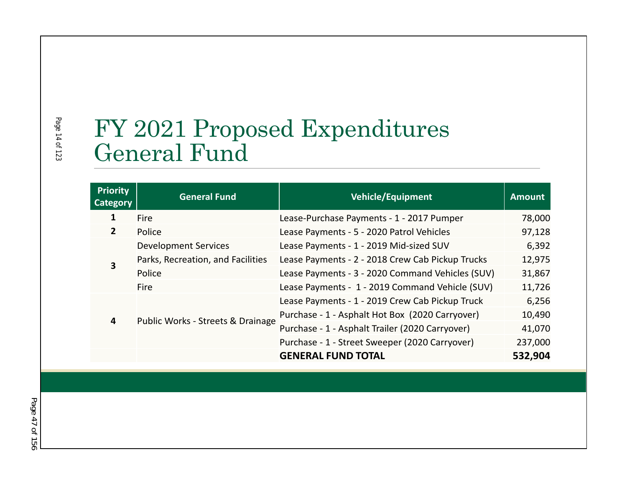# FY 2021 Proposed Expenditures General Fund

| <b>Priority</b><br>Category | <b>General Fund</b>               | <b>Vehicle/Equipment</b>                         | <b>Amount</b> |  |  |
|-----------------------------|-----------------------------------|--------------------------------------------------|---------------|--|--|
| 1                           | Fire                              | Lease-Purchase Payments - 1 - 2017 Pumper        | 78,000        |  |  |
| $\overline{2}$              | Police                            | Lease Payments - 5 - 2020 Patrol Vehicles        | 97,128        |  |  |
|                             | <b>Development Services</b>       | Lease Payments - 1 - 2019 Mid-sized SUV          | 6,392         |  |  |
| 3                           | Parks, Recreation, and Facilities | Lease Payments - 2 - 2018 Crew Cab Pickup Trucks | 12,975        |  |  |
|                             | Police                            | Lease Payments - 3 - 2020 Command Vehicles (SUV) | 31,867        |  |  |
|                             | Fire                              | Lease Payments - 1 - 2019 Command Vehicle (SUV)  |               |  |  |
| 4                           |                                   | Lease Payments - 1 - 2019 Crew Cab Pickup Truck  | 6,256         |  |  |
|                             | Public Works - Streets & Drainage | Purchase - 1 - Asphalt Hot Box (2020 Carryover)  |               |  |  |
|                             |                                   | Purchase - 1 - Asphalt Trailer (2020 Carryover)  |               |  |  |
|                             |                                   | Purchase - 1 - Street Sweeper (2020 Carryover)   | 237,000       |  |  |
|                             |                                   | <b>GENERAL FUND TOTAL</b>                        | 532,904       |  |  |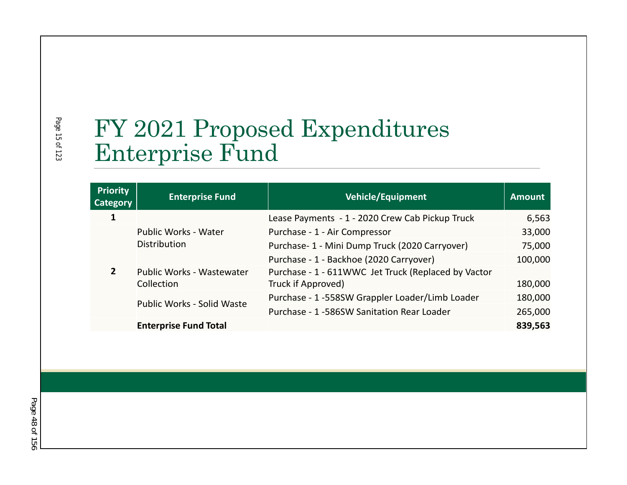# FY 2021 Proposed Expenditures Enterprise Fund

| <b>Priority</b><br>Category | <b>Enterprise Fund</b>                             | Vehicle/Equipment                                   | <b>Amount</b> |
|-----------------------------|----------------------------------------------------|-----------------------------------------------------|---------------|
|                             |                                                    | Lease Payments - 1 - 2020 Crew Cab Pickup Truck     | 6,563         |
| $\overline{2}$              | <b>Public Works - Water</b><br><b>Distribution</b> | Purchase - 1 - Air Compressor                       | 33,000        |
|                             |                                                    | Purchase- 1 - Mini Dump Truck (2020 Carryover)      | 75,000        |
|                             |                                                    | Purchase - 1 - Backhoe (2020 Carryover)             | 100,000       |
|                             | <b>Public Works - Wastewater</b>                   | Purchase - 1 - 611WWC Jet Truck (Replaced by Vactor |               |
|                             | Collection                                         | Truck if Approved)                                  | 180,000       |
|                             | Public Works - Solid Waste                         | Purchase - 1 -558SW Grappler Loader/Limb Loader     | 180,000       |
|                             |                                                    | Purchase - 1 -586SW Sanitation Rear Loader          | 265,000       |
|                             | <b>Enterprise Fund Total</b>                       |                                                     | 839,563       |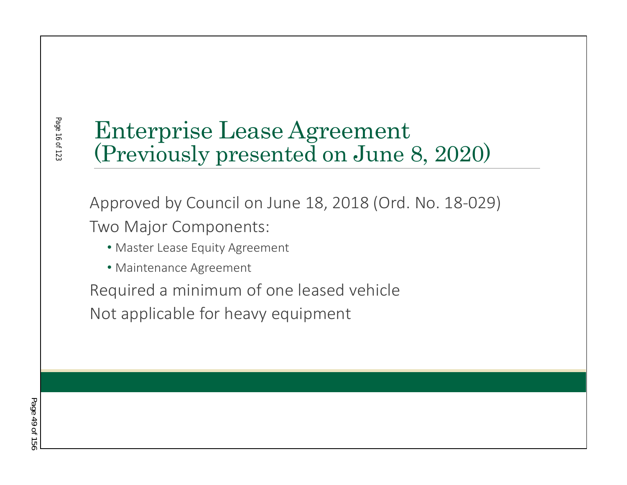### Page 16 of 12: Page 16 of 123

# Enterprise Lease Agreement (Previously presented on June 8, 2020)

Approved by Council on June 18, 2018 (Ord. No. 18-029) Two Major Components:

- Master Lease Equity Agreement
- Maintenance Agreement

Required a minimum of one leased vehicle Not applicable for heavy equipment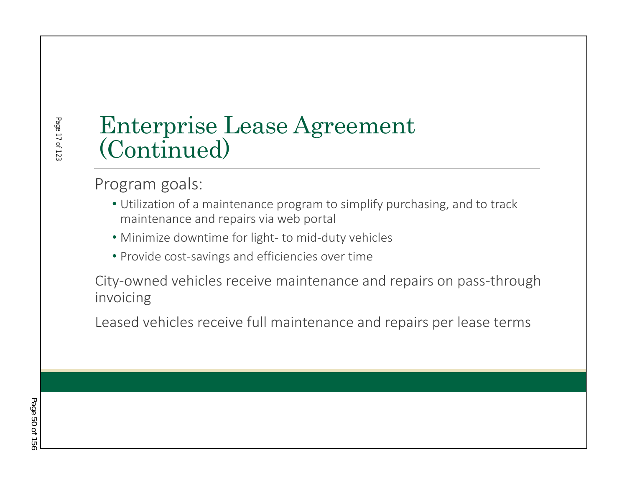# Enterprise Lease Agreement (Continued)

### Program goals:

- Utilization of a maintenance program to simplify purchasing, and to track maintenance and repairs via web portal
- Minimize downtime for light- to mid-duty vehicles
- Provide cost-savings and efficiencies over time

City-owned vehicles receive maintenance and repairs on pass-through invoicing

Leased vehicles receive full maintenance and repairs per lease terms

Page 17 of 123

Page 17 of 12: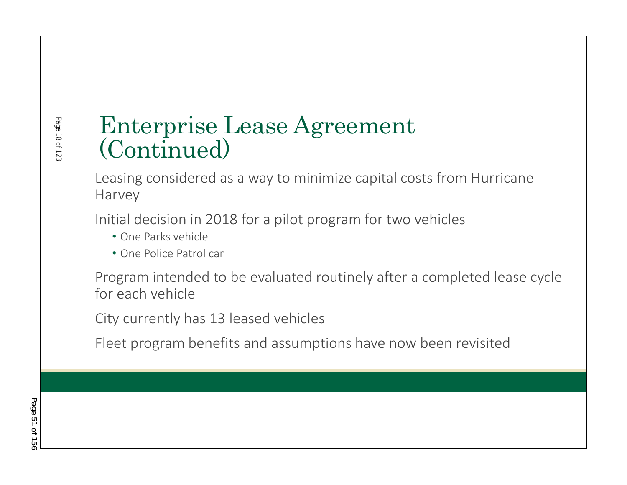# Page 18 of 12: Page 18 of 123

# Enterprise Lease Agreement (Continued)

Leasing considered as a way to minimize capital costs from Hurricane Harvey

Initial decision in 2018 for a pilot program for two vehicles

- One Parks vehicle
- One Police Patrol car

Program intended to be evaluated routinely after a completed lease cycle for each vehicle

City currently has 13 leased vehicles

Fleet program benefits and assumptions have now been revisited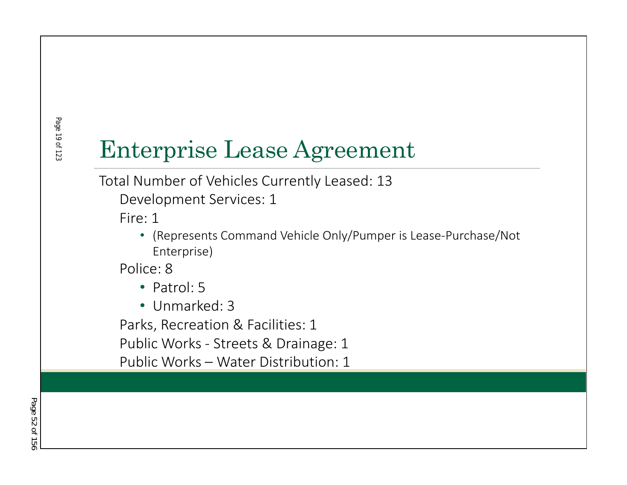# Enterprise Lease Agreement

Total Number of Vehicles Currently Leased: 13

Development Services: 1

Fire: 1

• (Represents Command Vehicle Only/Pumper is Lease-Purchase/Not Enterprise)

Police: 8

- Patrol: 5
- Unmarked: 3

Parks, Recreation & Facilities: 1

Public Works - Streets & Drainage: 1

Public Works – Water Distribution: 1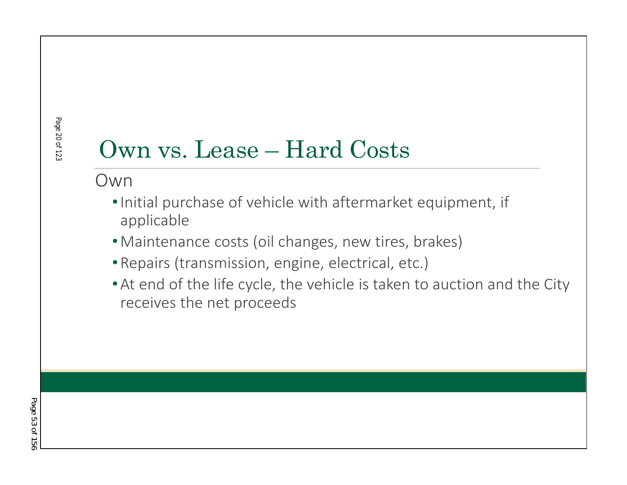# Own vs. Lease – Hard Costs

Own

- •Initial purchase of vehicle with aftermarket equipment, if applicable
- •Maintenance costs (oil changes, new tires, brakes)
- •Repairs (transmission, engine, electrical, etc.)
- •At end of the life cycle, the vehicle is taken to auction and the City receives the net proceeds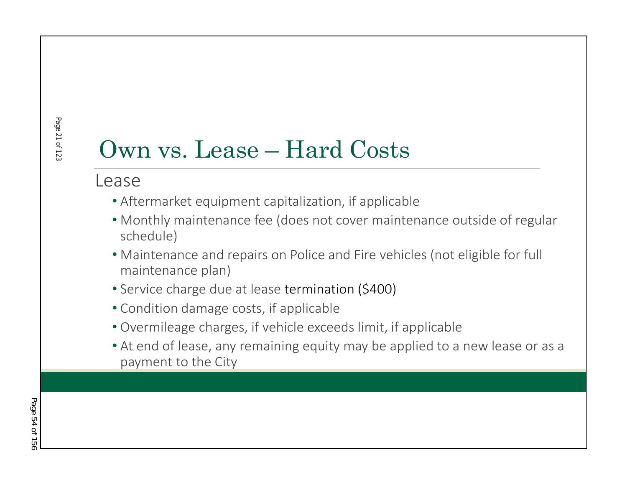# Own vs. Lease – Hard Costs

#### Lease

- Aftermarket equipment capitalization, if applicable
- Monthly maintenance fee (does not cover maintenance outside of regular schedule)
- Maintenance and repairs on Police and Fire vehicles (not eligible for full maintenance plan)
- Service charge due at lease termination (\$400)
- Condition damage costs, if applicable
- Overmileage charges, if vehicle exceeds limit, if applicable
- At end of lease, any remaining equity may be applied to a new lease or as a payment to the City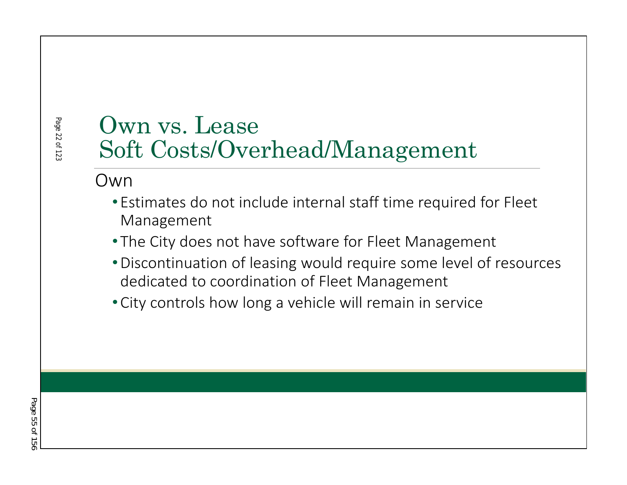# Own vs. Lease Soft Costs/Overhead/Management

Own

Page 22 of 123

Page 22 of 12:

- Estimates do not include internal staff time required for Fleet Management
- The City does not have software for Fleet Management
- •Discontinuation of leasing would require some level of resources dedicated to coordination of Fleet Management
- •City controls how long a vehicle will remain in service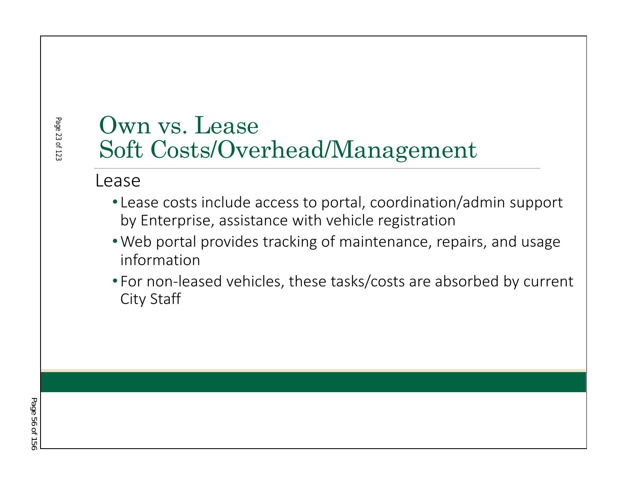# Own vs. Lease Soft Costs/Overhead/Management

#### Lease

Page 23 of 123

Page 23 of 123

- Lease costs include access to portal, coordination/admin support by Enterprise, assistance with vehicle registration
- •Web portal provides tracking of maintenance, repairs, and usage information
- For non-leased vehicles, these tasks/costs are absorbed by current City Staff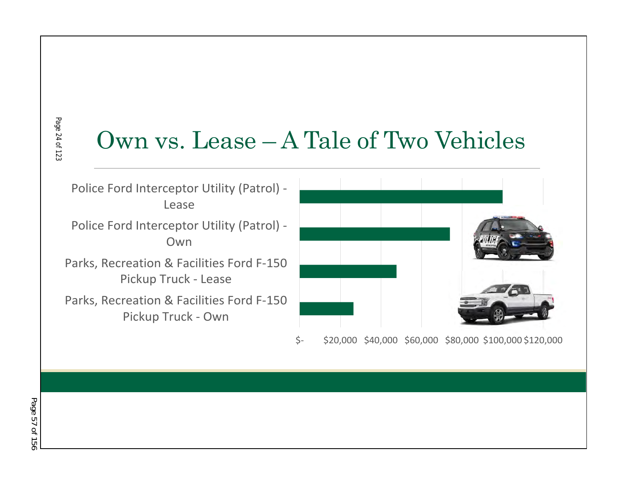### Page 24 of 123 Page 24 of 123

# Own vs. Lease – A Tale of Two Vehicles

Police Ford Interceptor Utility (Patrol) - Lease

Police Ford Interceptor Utility (Patrol) - Own

Parks, Recreation & Facilities Ford F-150 Pickup Truck - Lease

Parks, Recreation & Facilities Ford F-150 Pickup Truck - Own



\$- \$20,000 \$40,000 \$60,000 \$80,000 \$100,000 \$120,000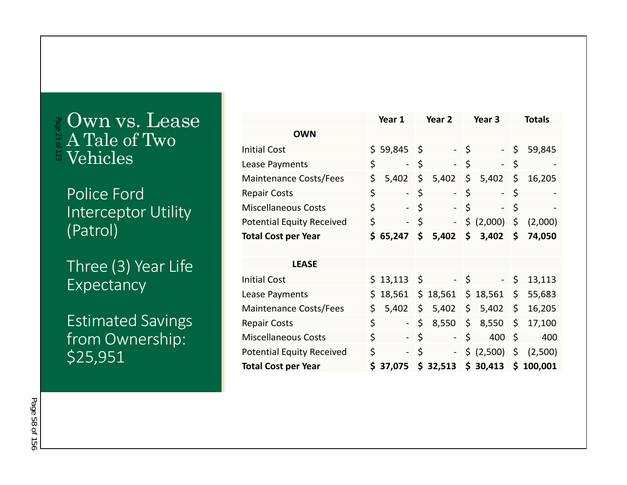#### Own vs. Lease A Tale of Two Vehicles Page 25 of 123

Police Ford Interceptor Utility (Patrol)

Three (3) Year Life Expectancy

Estimated Savings from Ownership: \$25,951

|                                  |    | Year 1                   | Year 2                         |                     | Year 3         |         | <b>Totals</b> |
|----------------------------------|----|--------------------------|--------------------------------|---------------------|----------------|---------|---------------|
| <b>OWN</b>                       |    |                          |                                |                     |                |         |               |
| <b>Initial Cost</b>              |    | $$59,845$ \$             |                                | $-5$                | $\sim$ $^{-1}$ | \$      | 59,845        |
| Lease Payments                   | \$ | $\overline{\phantom{0}}$ | \$<br>$\sim$                   | \$                  |                | \$      |               |
| <b>Maintenance Costs/Fees</b>    | \$ | 5,402                    | \$<br>5,402                    | \$                  | 5,402          | \$      | 16,205        |
| <b>Repair Costs</b>              | \$ | $\blacksquare$           | \$<br>$\overline{\phantom{a}}$ | \$                  | $\blacksquare$ | \$      |               |
| Miscellaneous Costs              | \$ |                          | \$<br>$\blacksquare$           | \$                  |                | \$      |               |
| <b>Potential Equity Received</b> | \$ |                          | \$<br>$\blacksquare$           |                     | \$ (2,000)     | \$      | (2,000)       |
| <b>Total Cost per Year</b>       |    | \$65,247                 | \$<br>5,402                    | $\ddot{\bm{\zeta}}$ | 3,402          | \$      | 74,050        |
|                                  |    |                          |                                |                     |                |         |               |
| <b>LEASE</b>                     |    |                          |                                |                     |                |         |               |
| <b>Initial Cost</b>              |    | $$13,113$ \$             |                                | - \$                |                | - \$    | 13,113        |
| Lease Payments                   | \$ | 18,561                   | \$<br>18,561                   | $\mathsf{S}$        | 18,561         | \$      | 55,683        |
| <b>Maintenance Costs/Fees</b>    | \$ | 5,402                    | \$<br>5,402                    | \$                  | 5,402          | \$      | 16,205        |
| <b>Repair Costs</b>              | \$ |                          | \$<br>8,550                    | \$                  | 8,550          | \$      | 17,100        |
| Miscellaneous Costs              | \$ |                          | \$<br>$\blacksquare$           | \$                  | 400            | $\zeta$ | 400           |
| <b>Potential Equity Received</b> | \$ | $\blacksquare$           | \$<br>$\blacksquare$           |                     | \$ (2,500)     | \$      | (2,500)       |
| <b>Total Cost per Year</b>       |    | \$37,075                 | \$32,513                       |                     | \$30,413       |         | \$100,001     |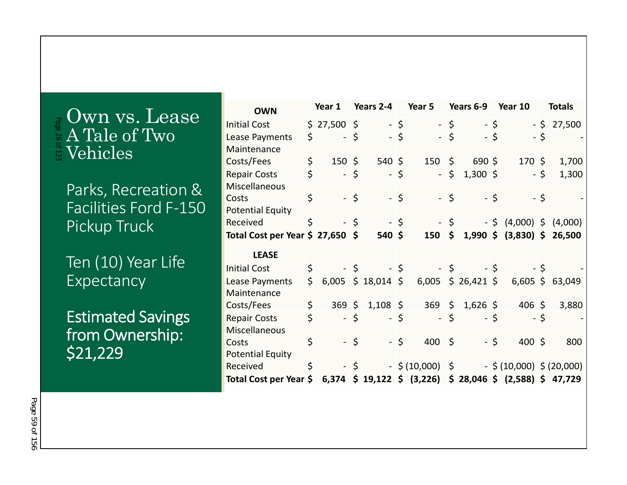#### Own vs. Lease A Tale of Two  $\frac{1}{2}$  Vehicles Page 26 of 123

Parks, Recreation & Facilities Ford F-150 Pickup Truck

Ten (10) Year Life **Expectancy** 

Estimated Savings from Ownership: \$21,229

| <b>OWN</b>                       | Year 1               |      | Years 2-4            | Year 5 |                                                             | Years 6-9 |                       | Year 10 |                             | <b>Totals</b> |        |
|----------------------------------|----------------------|------|----------------------|--------|-------------------------------------------------------------|-----------|-----------------------|---------|-----------------------------|---------------|--------|
| <b>Initial Cost</b>              | $$27,500$ \$         |      |                      | $-5$   | $-5$                                                        |           |                       | $-5$    |                             | - \$          | 27,500 |
| Lease Payments                   | \$<br>- \$           |      |                      | - \$   | - \$                                                        |           |                       | - \$    |                             | $-5$          |        |
| Maintenance                      |                      |      |                      |        |                                                             |           |                       |         |                             |               |        |
| Costs/Fees                       | \$<br>$150 \text{ }$ |      | $540 \;$ \$          |        | $150 \; \text{S}$                                           |           | $690$ \$              |         | $170 \;$ \$                 |               | 1,700  |
| <b>Repair Costs</b>              | \$<br>- \$           |      |                      | $-5$   |                                                             | $-5$      | $1,300$ \$            |         |                             | - \$          | 1,300  |
| <b>Miscellaneous</b>             |                      |      |                      |        |                                                             |           |                       |         |                             |               |        |
| Costs                            | \$                   | $-5$ |                      | $-5$   | $-5$                                                        |           |                       | - \$    |                             | - \$          |        |
| <b>Potential Equity</b>          |                      |      |                      |        |                                                             |           |                       |         |                             |               |        |
| Received                         | \$                   | $-5$ |                      | $-5$   |                                                             | $-5$      |                       |         | $-$ \$ (4,000) \$ (4,000)   |               |        |
| Total Cost per Year \$ 27,650 \$ |                      |      | $540$ \$             |        | $150 \; \text{S}$                                           |           |                       |         | $1,990 \div (3,830) \div$   |               | 26,500 |
| <b>LEASE</b>                     |                      |      |                      |        |                                                             |           |                       |         |                             |               |        |
| <b>Initial Cost</b>              | \$                   | $-5$ |                      | $-5$   |                                                             | $-5$      |                       | - \$    |                             | - \$          |        |
| Lease Payments                   | \$                   |      | $6,005$ \$ 18,014 \$ |        |                                                             |           | 6,005 \$ 26,421 \$    |         | $6,605$ \$                  |               | 63,049 |
| Maintenance                      |                      |      |                      |        |                                                             |           |                       |         |                             |               |        |
| Costs/Fees                       | \$                   |      | 369 \$ 1,108 \$      |        |                                                             |           | $369 \div 1,626 \div$ |         | $406 \;$ \$                 |               | 3,880  |
| <b>Repair Costs</b>              | \$<br>$-5$           |      |                      | - \$   |                                                             | $-5$      |                       | - \$    |                             | - \$          |        |
| Miscellaneous                    |                      |      |                      |        |                                                             |           |                       |         |                             |               |        |
| Costs                            | \$                   | $-5$ |                      | $-5$   | $400 \div$                                                  |           |                       | $-5$    | $400 \;$ \$                 |               | 800    |
| <b>Potential Equity</b>          |                      |      |                      |        |                                                             |           |                       |         |                             |               |        |
| Received                         | \$                   | - \$ |                      |        | $-$ \$ (10,000) \$                                          |           |                       |         | $-$ \$ (10,000) \$ (20,000) |               |        |
| Total Cost per Year \$           |                      |      |                      |        | $6,374$ \$ 19,122 \$ (3,226) \$ 28,046 \$ (2,588) \$ 47,729 |           |                       |         |                             |               |        |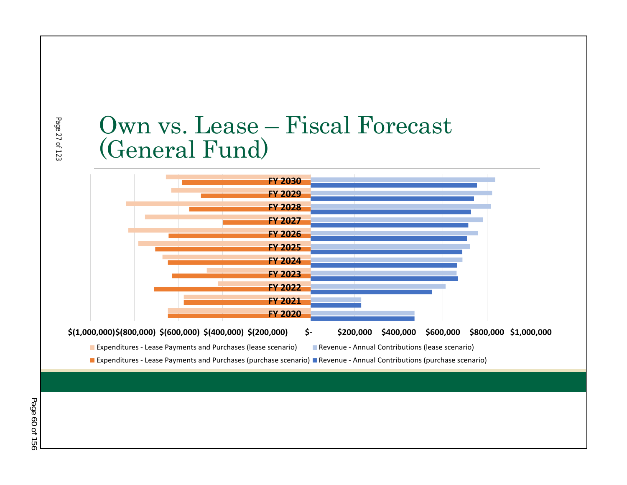# Own vs. Lease – Fiscal Forecast (General Fund)

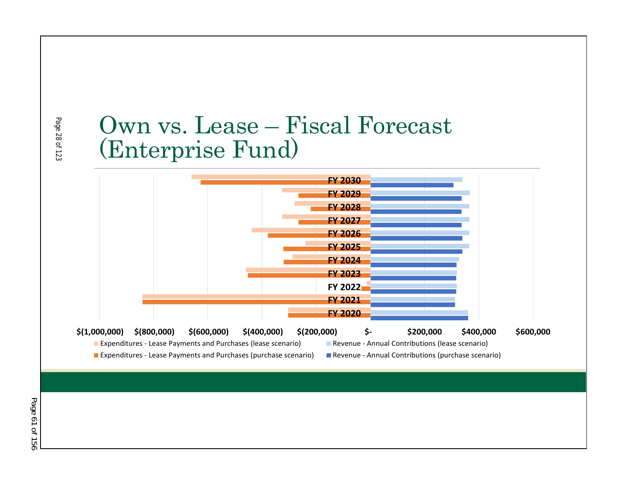### Page 28 of 123 Page 28 of 123

# Own vs. Lease – Fiscal Forecast (Enterprise Fund)

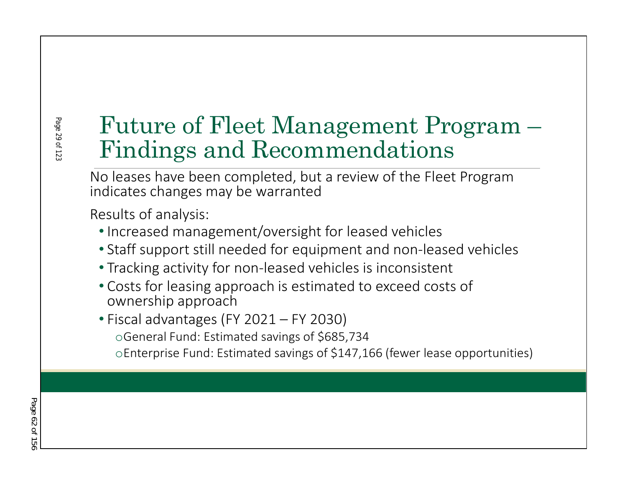# Future of Fleet Management Program – Findings and Recommendations

No leases have been completed, but a review of the Fleet Program indicates changes may be warranted

Results of analysis:

- •Increased management/oversight for leased vehicles
- Staff support still needed for equipment and non-leased vehicles
- Tracking activity for non-leased vehicles is inconsistent
- Costs for leasing approach is estimated to exceed costs of ownership approach
- Fiscal advantages (FY 2021 FY 2030)
	- oGeneral Fund: Estimated savings of \$685,734
	- oEnterprise Fund: Estimated savings of \$147,166 (fewer lease opportunities)

Page 29 of 12: Page 29 of 123